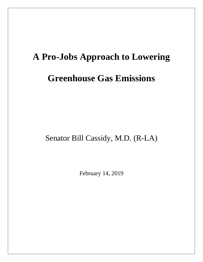# **A Pro-Jobs Approach to Lowering Greenhouse Gas Emissions**

# Senator Bill Cassidy, M.D. (R-LA)

February 14, 2019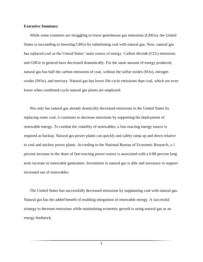#### **Executive Summary**

While some countries are struggling to lower greenhouse gas emissions (GHGe), the United States is succeeding in lowering GHGe by substituting coal with natural gas. Now, natural gas has replaced coal as the United States' main source of energy. Carbon dioxide  $(CO<sub>2</sub>)$  emissions and GHGe in general have decreased dramatically. For the same amount of energy produced, natural gas has half the carbon emissions of coal, without the sulfur oxides (SOx), nitrogen oxides (NOx), and mercury. Natural gas has lower life-cycle emissions than coal, which are even lower when combined-cycle natural gas plants are employed.

Not only has natural gas already drastically decreased emissions in the United States by replacing some coal, it continues to decrease emissions by supporting the deployment of renewable energy. To combat the volatility of renewables, a fast-reacting energy source is required as backup. Natural gas power plants can quickly and safely ramp up and down relative to coal and nuclear power plants. According to the National Bureau of Economic Research, a 1 percent increase in the share of fast-reacting power source is associated with a 0.88 percent long term increase in renewable generation. Investment in natural gas is able and necessary to support increased use of renewables.

The United States has successfully decreased emissions by supplanting coal with natural gas. Natural gas has the added benefit of enabling integration of renewable energy. A successful strategy to decrease emissions while maintaining economic growth is using natural gas as an energy feedstock.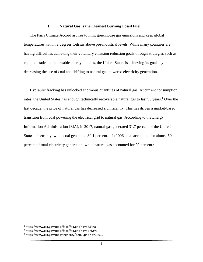#### **I. Natural Gas is the Cleanest Burning Fossil Fuel**

The Paris Climate Accord aspires to limit greenhouse gas emissions and keep global temperatures within 2 degrees Celsius above pre-industrial levels. While many countries are having difficulties achieving their voluntary emission reduction goals through strategies such as cap-and-trade and renewable energy policies, the United States is achieving its goals by decreasing the use of coal and shifting to natural gas-powered electricity generation.

Hydraulic fracking has unlocked enormous quantities of natural gas. At current consumption rates, the United States has enough technically recoverable natural gas to last 90 years.<sup>1</sup> Over the last decade, the price of natural gas has decreased significantly. This has driven a market-based transition from coal powering the electrical grid to natural gas. According to the Energy Information Administration (EIA), in 2017, natural gas generated 31.7 percent of the United States' electricity, while coal generated 30.1 percent.<sup>2</sup> In 2006, coal accounted for almost 50 percent of total electricity generation, while natural gas accounted for 20 percent.<sup>3</sup>

 $\overline{\phantom{a}}$ 

<sup>1</sup> https://www.eia.gov/tools/faqs/faq.php?id=58&t=8

<sup>2</sup> https://www.eia.gov/tools/faqs/faq.php?id=427&t=3

<sup>3</sup> https://www.eia.gov/todayinenergy/detail.php?id=34612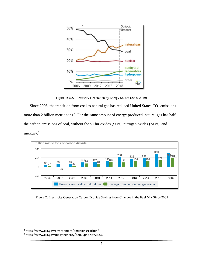

Figure 1: U.S. Electricity Generation by Energy Source (2006-2019)

Since 2005, the transition from coal to natural gas has reduced United States  $CO<sub>2</sub>$  emissions more than 2 billion metric tons.<sup>4</sup> For the same amount of energy produced, natural gas has half the carbon emissions of coal, without the sulfur oxides (SOx), nitrogen oxides (NOx), and mercury.<sup>5</sup>



Figure 2: Electricity Generation Carbon Dioxide Savings from Changes in the Fuel Mix Since 2005

 $\overline{a}$ 

<sup>4</sup> https://www.eia.gov/environment/emissions/carbon/

<sup>5</sup> https://www.eia.gov/todayinenergy/detail.php?id=26232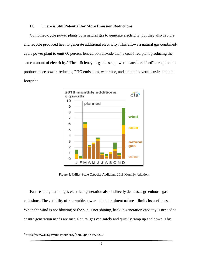## **II. There is Still Potential for More Emission Reductions**

Combined-cycle power plants burn natural gas to generate electricity, but they also capture and recycle produced heat to generate additional electricity. This allows a natural gas combinedcycle power plant to emit 60 percent less carbon dioxide than a coal-fired plant producing the same amount of electricity.<sup>6</sup> The efficiency of gas-based power means less "feed" is required to produce more power, reducing GHG emissions, water use, and a plant's overall environmental footprint.



Figure 3: Utility-Scale Capacity Additions, 2018 Monthly Additions

Fast-reacting natural gas electrical generation also indirectly decreases greenhouse gas emissions. The volatility of renewable power—its intermittent nature—limits its usefulness. When the wind is not blowing or the sun is not shining, backup generation capacity is needed to ensure generation needs are met. Natural gas can safely and quickly ramp up and down. This

 $\overline{\phantom{a}}$ 

<sup>6</sup> https://www.eia.gov/todayinenergy/detail.php?id=26232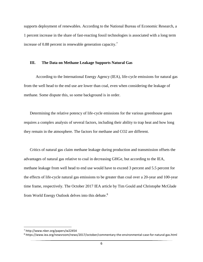supports deployment of renewables. According to the National Bureau of Economic Research, a 1 percent increase in the share of fast-reacting fossil technologies is associated with a long term increase of 0.88 percent in renewable generation capacity.<sup>7</sup>

## **III. The Data on Methane Leakage Supports Natural Gas**

According to the International Energy Agency (IEA), life-cycle emissions for natural gas from the well head to the end use are lower than coal, even when considering the leakage of methane. Some dispute this, so some background is in order.

Determining the relative potency of life-cycle emissions for the various greenhouse gases requires a complex analysis of several factors, including their ability to trap heat and how long they remain in the atmosphere. The factors for methane and CO2 are different.

Critics of natural gas claim methane leakage during production and transmission offsets the advantages of natural gas relative to coal in decreasing GHGe, but according to the IEA, methane leakage from well head to end use would have to exceed 3 percent and 5.5 percent for the effects of life-cycle natural gas emissions to be greater than coal over a 20-year and 100-year time frame, respectively. The October 2017 IEA article by Tim Gould and Christophe McGlade from World Energy Outlook delves into this debate.<sup>8</sup>

 $\overline{a}$ 

<sup>7</sup> http://www.nber.org/papers/w22454

<sup>8</sup> https://www.iea.org/newsroom/news/2017/october/commentary-the-environmental-case-for-natural-gas.html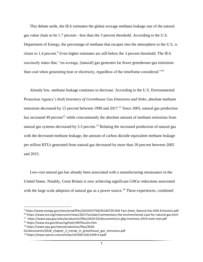This debate aside, the IEA estimates the global average methane leakage rate of the natural gas value chain to be 1.7 percent—less than the 3 percent threshold. According to the U.S. Department of Energy, the percentage of methane that escapes into the atmosphere in the U.S. is closer to 1.4 percent.<sup>9</sup> Even higher estimates are still below the 3 percent threshold. The IEA succinctly states that, "on average, [natural] gas generates far fewer greenhouse-gas emissions than coal when generating heat or electricity, regardless of the timeframe considered."<sup>10</sup>

Already low, methane leakage continues to decrease. According to the U.S. Environmental Protection Agency's draft *Inventory of Greenhouse Gas Emissions and Sinks,* absolute methane emissions decreased by 15 percent between 1990 and  $2017$ <sup>11</sup> Since 2005, natural gas production has increased 49 percent<sup>12</sup> while concomitantly the absolute amount of methane emissions from natural gas systems decreased by 3.3 percent.<sup>13</sup> Relating the increased production of natural gas with the decreased methane leakage, the amount of carbon dioxide equivalent methane leakage per trillion BTUs generated from natural gas decreased by more than 39 percent between 2005 and 2015.

Low-cost natural gas has already been associated with a manufacturing renaissance in the United States. Notably, Great Britain is now achieving significant GHGe reductions associated with the large scale adoption of natural gas as a power source.<sup>14</sup> These experiences, combined

l

<sup>&</sup>lt;sup>9</sup> https://www.energy.gov/sites/prod/files/2014/07/f18/20140729 DOE Fact sheet\_Natural Gas GHG Emissions.pdf <sup>10</sup> https://www.iea.org/newsroom/news/2017/october/commentary-the-environmental-case-for-natural-gas.html

<sup>11</sup> https://www.epa.gov/sites/production/files/2019-02/documents/us-ghg-inventory-2019-main-text.pdf

<sup>12</sup> https://www.eia.gov/dnav/ng/hist/n9070us2m.htm

<sup>13</sup> https://www.epa.gov/sites/production/files/2018-

<sup>01/</sup>documents/2018\_chapter\_2\_trends\_in\_greenhouse\_gas\_emissions.pdf

<sup>14</sup> https://www.nature.com/articles/s41560-018-0109-0.epdf